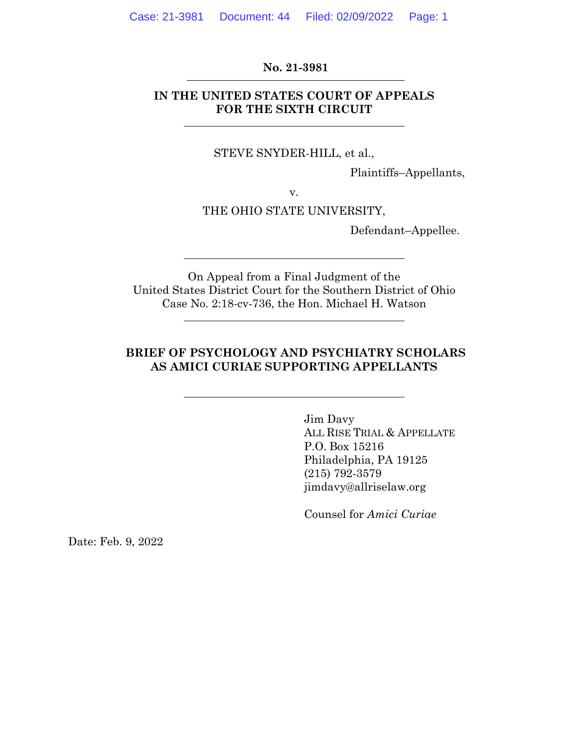#### **No. 21-3981**

### **IN THE UNITED STATES COURT OF APPEALS FOR THE SIXTH CIRCUIT**

#### STEVE SNYDER-HILL, et al.,

Plaintiffs–Appellants,

v.

#### THE OHIO STATE UNIVERSITY,

Defendant–Appellee.

On Appeal from a Final Judgment of the United States District Court for the Southern District of Ohio Case No. 2:18-cv-736, the Hon. Michael H. Watson

### **BRIEF OF PSYCHOLOGY AND PSYCHIATRY SCHOLARS AS AMICI CURIAE SUPPORTING APPELLANTS**

Jim Davy ALL RISE TRIAL & APPELLATE P.O. Box 15216 Philadelphia, PA 19125 (215) 792-3579 jimdavy@allriselaw.org

Counsel for *Amici Curiae*

Date: Feb. 9, 2022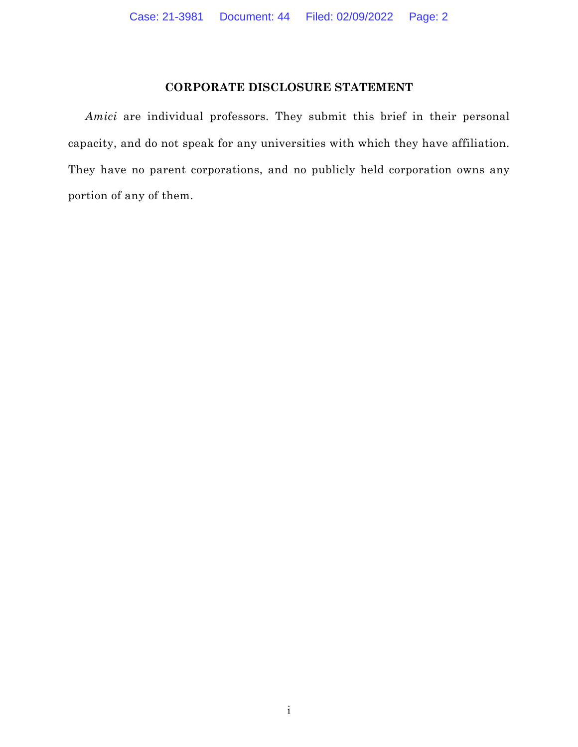### **CORPORATE DISCLOSURE STATEMENT**

*Amici* are individual professors. They submit this brief in their personal capacity, and do not speak for any universities with which they have affiliation. They have no parent corporations, and no publicly held corporation owns any portion of any of them.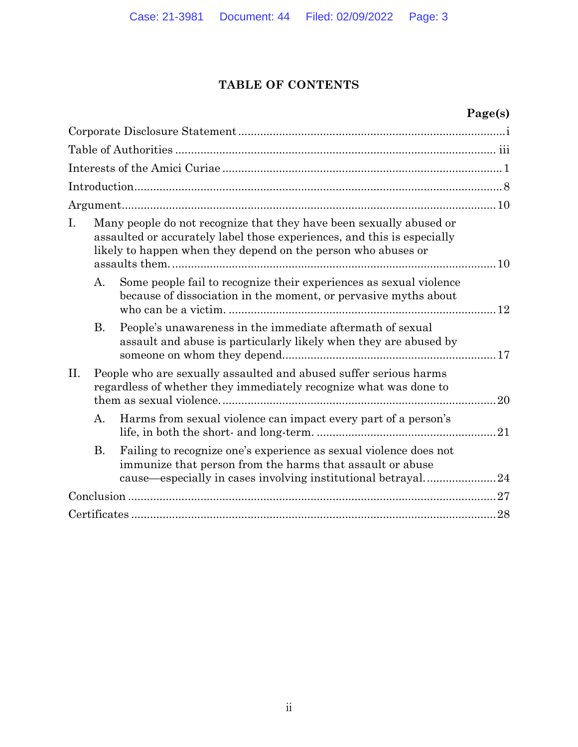### **TABLE OF CONTENTS**

# **Page(s)**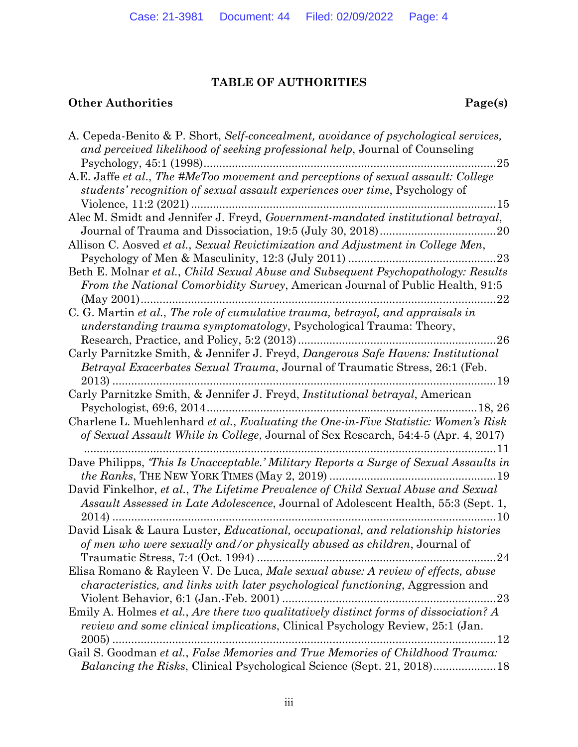# **TABLE OF AUTHORITIES**

# **Other Authorities** Page(s)

| A. Cepeda-Benito & P. Short, Self-concealment, avoidance of psychological services,<br>and perceived likelihood of seeking professional help, Journal of Counseling<br>$\dots 25$                 |
|---------------------------------------------------------------------------------------------------------------------------------------------------------------------------------------------------|
| A.E. Jaffe et al., The #MeToo movement and perceptions of sexual assault: College<br>students' recognition of sexual assault experiences over time, Psychology of<br>15                           |
| Alec M. Smidt and Jennifer J. Freyd, Government-mandated institutional betrayal,                                                                                                                  |
| Allison C. Aosved et al., Sexual Revictimization and Adjustment in College Men,                                                                                                                   |
| Beth E. Molnar et al., Child Sexual Abuse and Subsequent Psychopathology: Results<br><i>From the National Comorbidity Survey, American Journal of Public Health, 91:5</i><br>22                   |
| C. G. Martin et al., The role of cumulative trauma, betrayal, and appraisals in<br><i>understanding trauma symptomatology</i> , Psychological Trauma: Theory,                                     |
| Carly Parnitzke Smith, & Jennifer J. Freyd, Dangerous Safe Havens: Institutional<br><i>Betrayal Exacerbates Sexual Trauma, Journal of Traumatic Stress, 26:1 (Feb.</i>                            |
| Carly Parnitzke Smith, & Jennifer J. Freyd, <i>Institutional betrayal</i> , American                                                                                                              |
| Charlene L. Muehlenhard et al., Evaluating the One-in-Five Statistic: Women's Risk<br>of Sexual Assault While in College, Journal of Sex Research, 54:4-5 (Apr. 4, 2017)<br>11                    |
| Dave Philipps, 'This Is Unacceptable.' Military Reports a Surge of Sexual Assaults in                                                                                                             |
| David Finkelhor, et al., The Lifetime Prevalence of Child Sexual Abuse and Sexual<br>Assault Assessed in Late Adolescence, Journal of Adolescent Health, 55:3 (Sept. 1,<br>$2014$ )<br>. 10       |
| David Lisak & Laura Luster, <i>Educational</i> , <i>occupational</i> , and relationship histories<br>of men who were sexually and/or physically abused as children, Journal of<br>24              |
| Elisa Romano & Rayleen V. De Luca, Male sexual abuse: A review of effects, abuse<br>characteristics, and links with later psychological functioning, Aggression and<br>23                         |
| Emily A. Holmes et al., Are there two qualitatively distinct forms of dissociation? A<br><i>review and some clinical implications</i> , Clinical Psychology Review, 25:1 (Jan.<br>$2005$ )<br>.12 |
| Gail S. Goodman et al., False Memories and True Memories of Childhood Trauma:<br><i>Balancing the Risks, Clinical Psychological Science (Sept. 21, 2018)</i>                                      |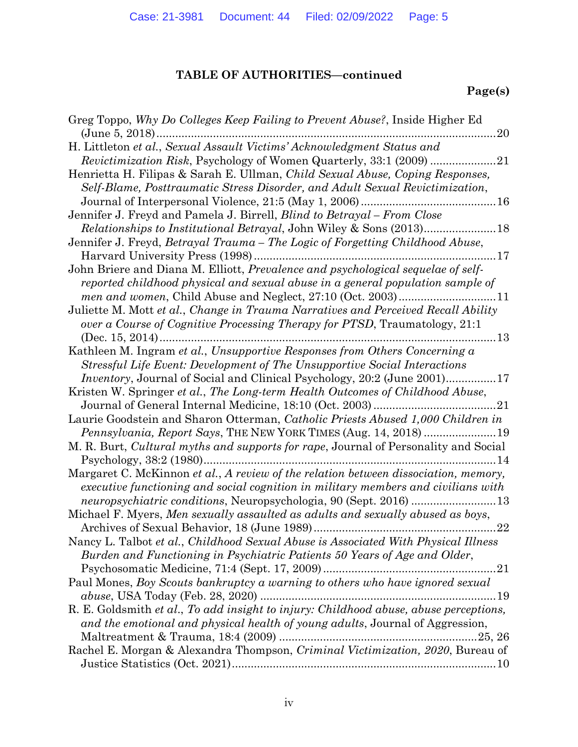# **TABLE OF AUTHORITIES—continued**

# **Page(s)**

| Greg Toppo, Why Do Colleges Keep Failing to Prevent Abuse?, Inside Higher Ed                                                                                                  |
|-------------------------------------------------------------------------------------------------------------------------------------------------------------------------------|
| (June 5, $2018$ )<br>20                                                                                                                                                       |
| H. Littleton et al., Sexual Assault Victims' Acknowledgment Status and                                                                                                        |
|                                                                                                                                                                               |
| Henrietta H. Filipas & Sarah E. Ullman, <i>Child Sexual Abuse</i> , <i>Coping Responses</i> ,<br>Self-Blame, Posttraumatic Stress Disorder, and Adult Sexual Revictimization, |
|                                                                                                                                                                               |
| Jennifer J. Freyd and Pamela J. Birrell, Blind to Betrayal - From Close                                                                                                       |
|                                                                                                                                                                               |
| Jennifer J. Freyd, Betrayal Trauma – The Logic of Forgetting Childhood Abuse,                                                                                                 |
| . 17                                                                                                                                                                          |
| John Briere and Diana M. Elliott, Prevalence and psychological sequelae of self-                                                                                              |
| reported childhood physical and sexual abuse in a general population sample of                                                                                                |
|                                                                                                                                                                               |
| Juliette M. Mott et al., Change in Trauma Narratives and Perceived Recall Ability                                                                                             |
| over a Course of Cognitive Processing Therapy for PTSD, Traumatology, 21:1                                                                                                    |
| 13                                                                                                                                                                            |
| Kathleen M. Ingram et al., Unsupportive Responses from Others Concerning a                                                                                                    |
| Stressful Life Event: Development of The Unsupportive Social Interactions                                                                                                     |
| <i>Inventory</i> , Journal of Social and Clinical Psychology, 20:2 (June 2001)17                                                                                              |
| Kristen W. Springer et al., The Long-term Health Outcomes of Childhood Abuse,                                                                                                 |
|                                                                                                                                                                               |
| Laurie Goodstein and Sharon Otterman, Catholic Priests Abused 1,000 Children in                                                                                               |
|                                                                                                                                                                               |
| M. R. Burt, <i>Cultural myths and supports for rape</i> , Journal of Personality and Social                                                                                   |
|                                                                                                                                                                               |
| Margaret C. McKinnon et al., A review of the relation between dissociation, memory,                                                                                           |
| executive functioning and social cognition in military members and civilians with                                                                                             |
|                                                                                                                                                                               |
| Michael F. Myers, Men sexually assaulted as adults and sexually abused as boys,                                                                                               |
| 22                                                                                                                                                                            |
| Nancy L. Talbot et al., Childhood Sexual Abuse is Associated With Physical Illness                                                                                            |
| Burden and Functioning in Psychiatric Patients 50 Years of Age and Older,                                                                                                     |
|                                                                                                                                                                               |
| Paul Mones, Boy Scouts bankruptcy a warning to others who have ignored sexual                                                                                                 |
|                                                                                                                                                                               |
| R. E. Goldsmith et al., To add insight to injury: Childhood abuse, abuse perceptions,                                                                                         |
| and the emotional and physical health of young adults, Journal of Aggression,                                                                                                 |
|                                                                                                                                                                               |
|                                                                                                                                                                               |
|                                                                                                                                                                               |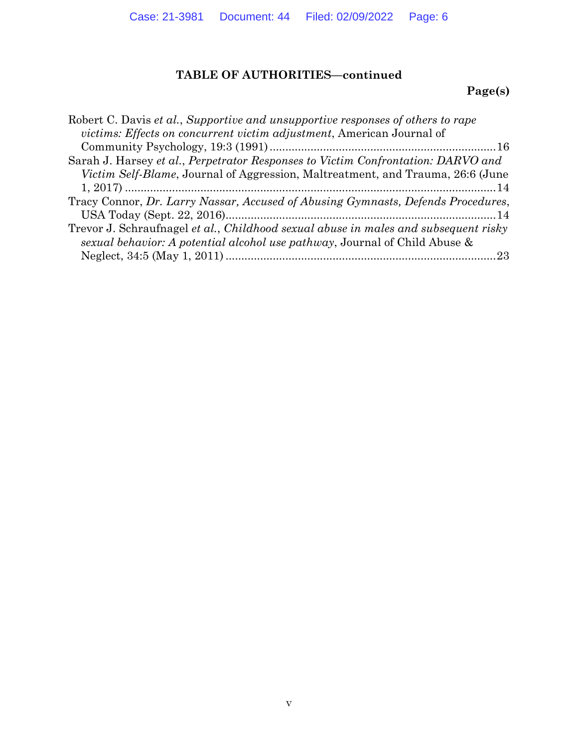# **TABLE OF AUTHORITIES—continued**

# **Page(s)**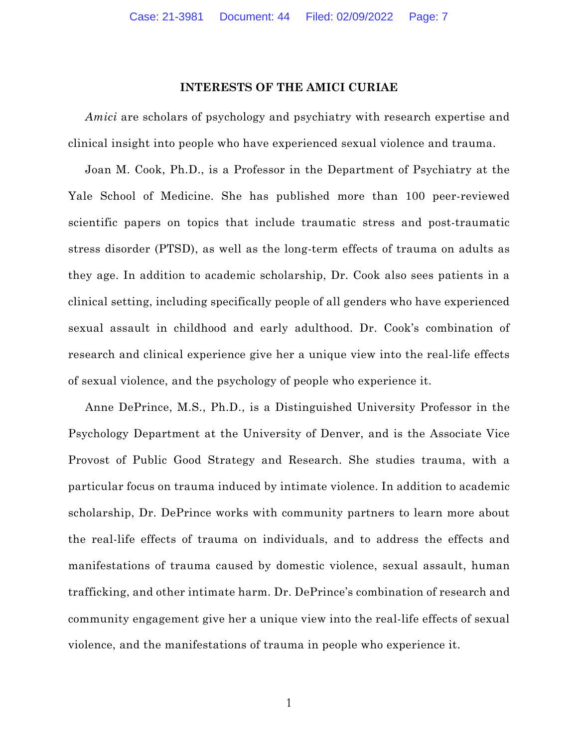#### **INTERESTS OF THE AMICI CURIAE**

*Amici* are scholars of psychology and psychiatry with research expertise and clinical insight into people who have experienced sexual violence and trauma.

Joan M. Cook, Ph.D., is a Professor in the Department of Psychiatry at the Yale School of Medicine. She has published more than 100 peer-reviewed scientific papers on topics that include traumatic stress and post-traumatic stress disorder (PTSD), as well as the long-term effects of trauma on adults as they age. In addition to academic scholarship, Dr. Cook also sees patients in a clinical setting, including specifically people of all genders who have experienced sexual assault in childhood and early adulthood. Dr. Cook's combination of research and clinical experience give her a unique view into the real-life effects of sexual violence, and the psychology of people who experience it.

Anne DePrince, M.S., Ph.D., is a Distinguished University Professor in the Psychology Department at the University of Denver, and is the Associate Vice Provost of Public Good Strategy and Research. She studies trauma, with a particular focus on trauma induced by intimate violence. In addition to academic scholarship, Dr. DePrince works with community partners to learn more about the real-life effects of trauma on individuals, and to address the effects and manifestations of trauma caused by domestic violence, sexual assault, human trafficking, and other intimate harm. Dr. DePrince's combination of research and community engagement give her a unique view into the real-life effects of sexual violence, and the manifestations of trauma in people who experience it.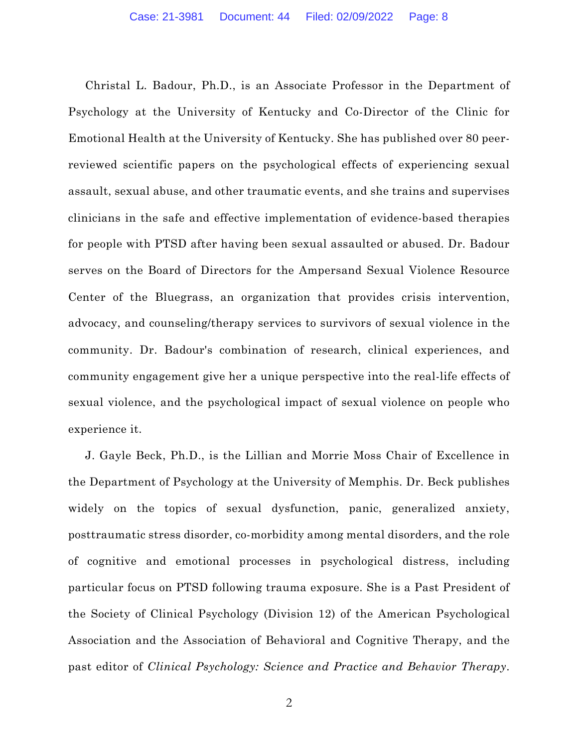Christal L. Badour, Ph.D., is an Associate Professor in the Department of Psychology at the University of Kentucky and Co-Director of the Clinic for Emotional Health at the University of Kentucky. She has published over 80 peerreviewed scientific papers on the psychological effects of experiencing sexual assault, sexual abuse, and other traumatic events, and she trains and supervises clinicians in the safe and effective implementation of evidence-based therapies for people with PTSD after having been sexual assaulted or abused. Dr. Badour serves on the Board of Directors for the Ampersand Sexual Violence Resource Center of the Bluegrass, an organization that provides crisis intervention, advocacy, and counseling/therapy services to survivors of sexual violence in the community. Dr. Badour's combination of research, clinical experiences, and community engagement give her a unique perspective into the real-life effects of sexual violence, and the psychological impact of sexual violence on people who experience it.

J. Gayle Beck, Ph.D., is the Lillian and Morrie Moss Chair of Excellence in the Department of Psychology at the University of Memphis. Dr. Beck publishes widely on the topics of sexual dysfunction, panic, generalized anxiety, posttraumatic stress disorder, co-morbidity among mental disorders, and the role of cognitive and emotional processes in psychological distress, including particular focus on PTSD following trauma exposure. She is a Past President of the Society of Clinical Psychology (Division 12) of the American Psychological Association and the Association of Behavioral and Cognitive Therapy, and the past editor of *Clinical Psychology: Science and Practice and Behavior Therapy*.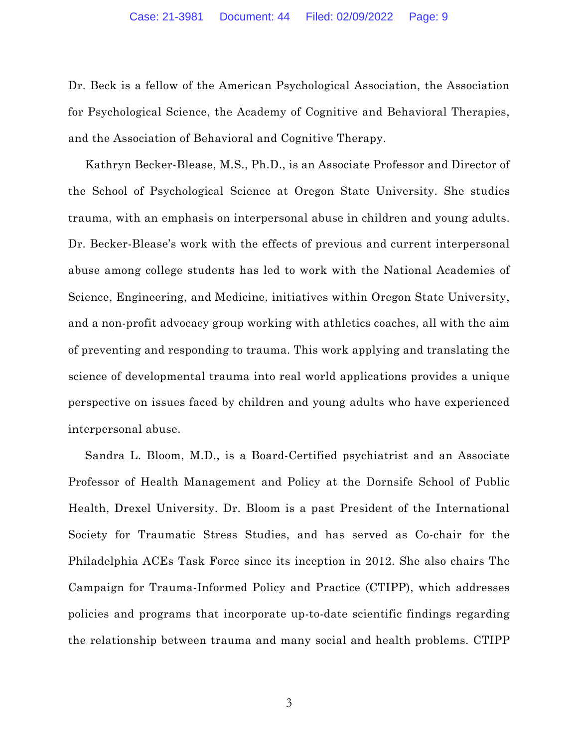Dr. Beck is a fellow of the American Psychological Association, the Association for Psychological Science, the Academy of Cognitive and Behavioral Therapies, and the Association of Behavioral and Cognitive Therapy.

Kathryn Becker-Blease, M.S., Ph.D., is an Associate Professor and Director of the School of Psychological Science at Oregon State University. She studies trauma, with an emphasis on interpersonal abuse in children and young adults. Dr. Becker-Blease's work with the effects of previous and current interpersonal abuse among college students has led to work with the National Academies of Science, Engineering, and Medicine, initiatives within Oregon State University, and a non-profit advocacy group working with athletics coaches, all with the aim of preventing and responding to trauma. This work applying and translating the science of developmental trauma into real world applications provides a unique perspective on issues faced by children and young adults who have experienced interpersonal abuse.

Sandra L. Bloom, M.D., is a Board-Certified psychiatrist and an Associate Professor of Health Management and Policy at the Dornsife School of Public Health, Drexel University. Dr. Bloom is a past President of the International Society for Traumatic Stress Studies, and has served as Co-chair for the Philadelphia ACEs Task Force since its inception in 2012. She also chairs The Campaign for Trauma-Informed Policy and Practice (CTIPP), which addresses policies and programs that incorporate up-to-date scientific findings regarding the relationship between trauma and many social and health problems. CTIPP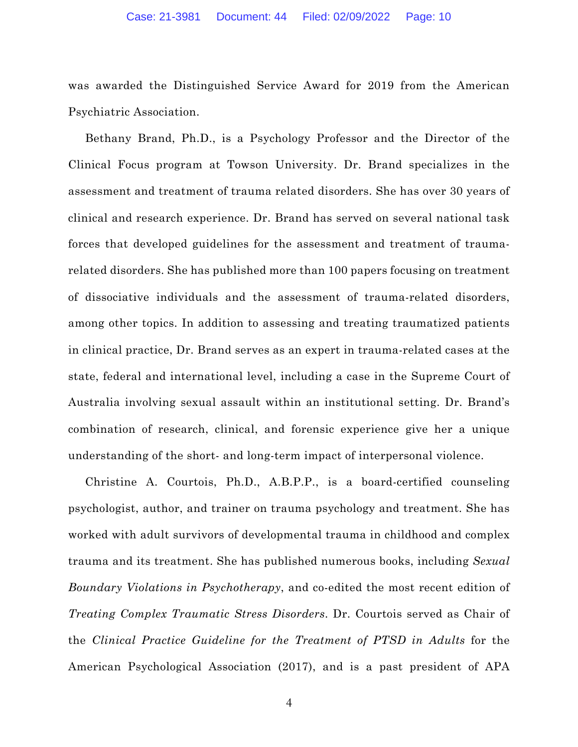was awarded the Distinguished Service Award for 2019 from the American Psychiatric Association.

Bethany Brand, Ph.D., is a Psychology Professor and the Director of the Clinical Focus program at Towson University. Dr. Brand specializes in the assessment and treatment of trauma related disorders. She has over 30 years of clinical and research experience. Dr. Brand has served on several national task forces that developed guidelines for the assessment and treatment of traumarelated disorders. She has published more than 100 papers focusing on treatment of dissociative individuals and the assessment of trauma-related disorders, among other topics. In addition to assessing and treating traumatized patients in clinical practice, Dr. Brand serves as an expert in trauma-related cases at the state, federal and international level, including a case in the Supreme Court of Australia involving sexual assault within an institutional setting. Dr. Brand's combination of research, clinical, and forensic experience give her a unique understanding of the short- and long-term impact of interpersonal violence.

Christine A. Courtois, Ph.D., A.B.P.P., is a board-certified counseling psychologist, author, and trainer on trauma psychology and treatment. She has worked with adult survivors of developmental trauma in childhood and complex trauma and its treatment. She has published numerous books, including *Sexual Boundary Violations in Psychotherapy*, and co-edited the most recent edition of *Treating Complex Traumatic Stress Disorders*. Dr. Courtois served as Chair of the *Clinical Practice Guideline for the Treatment of PTSD in Adults* for the American Psychological Association (2017), and is a past president of APA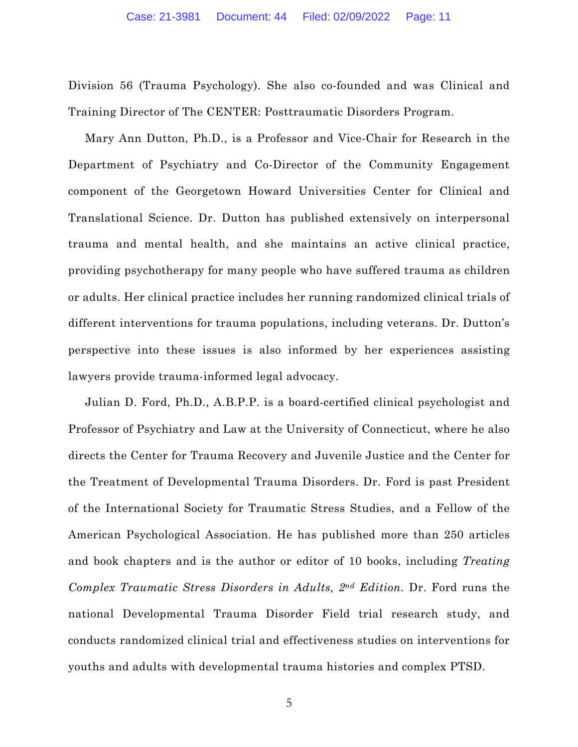Division 56 (Trauma Psychology). She also co-founded and was Clinical and Training Director of The CENTER: Posttraumatic Disorders Program.

Mary Ann Dutton, Ph.D., is a Professor and Vice-Chair for Research in the Department of Psychiatry and Co-Director of the Community Engagement component of the Georgetown Howard Universities Center for Clinical and Translational Science. Dr. Dutton has published extensively on interpersonal trauma and mental health, and she maintains an active clinical practice, providing psychotherapy for many people who have suffered trauma as children or adults. Her clinical practice includes her running randomized clinical trials of different interventions for trauma populations, including veterans. Dr. Dutton's perspective into these issues is also informed by her experiences assisting lawyers provide trauma-informed legal advocacy.

Julian D. Ford, Ph.D., A.B.P.P. is a board-certified clinical psychologist and Professor of Psychiatry and Law at the University of Connecticut, where he also directs the Center for Trauma Recovery and Juvenile Justice and the Center for the Treatment of Developmental Trauma Disorders. Dr. Ford is past President of the International Society for Traumatic Stress Studies, and a Fellow of the American Psychological Association. He has published more than 250 articles and book chapters and is the author or editor of 10 books, including *Treating Complex Traumatic Stress Disorders in Adults, 2nd Edition.* Dr. Ford runs the national Developmental Trauma Disorder Field trial research study, and conducts randomized clinical trial and effectiveness studies on interventions for youths and adults with developmental trauma histories and complex PTSD.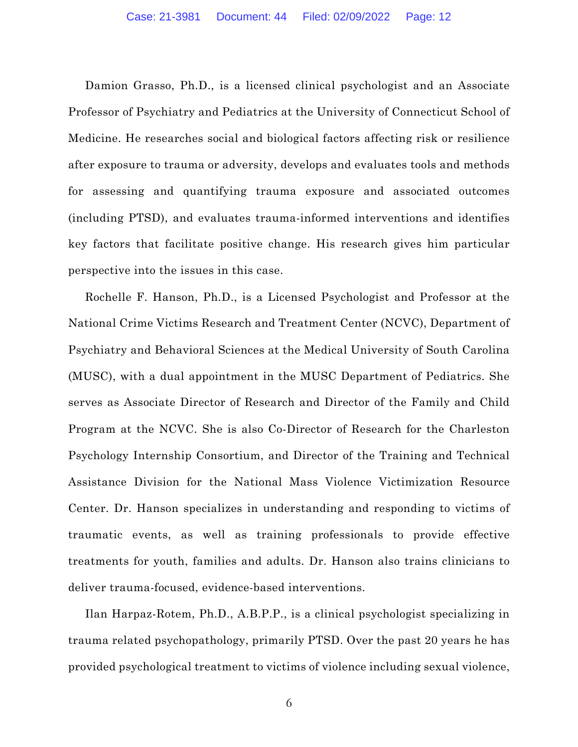Damion Grasso, Ph.D., is a licensed clinical psychologist and an Associate Professor of Psychiatry and Pediatrics at the University of Connecticut School of Medicine. He researches social and biological factors affecting risk or resilience after exposure to trauma or adversity, develops and evaluates tools and methods for assessing and quantifying trauma exposure and associated outcomes (including PTSD), and evaluates trauma-informed interventions and identifies key factors that facilitate positive change. His research gives him particular perspective into the issues in this case.

Rochelle F. Hanson, Ph.D., is a Licensed Psychologist and Professor at the National Crime Victims Research and Treatment Center (NCVC), Department of Psychiatry and Behavioral Sciences at the Medical University of South Carolina (MUSC), with a dual appointment in the MUSC Department of Pediatrics. She serves as Associate Director of Research and Director of the Family and Child Program at the NCVC. She is also Co-Director of Research for the Charleston Psychology Internship Consortium, and Director of the Training and Technical Assistance Division for the National Mass Violence Victimization Resource Center. Dr. Hanson specializes in understanding and responding to victims of traumatic events, as well as training professionals to provide effective treatments for youth, families and adults. Dr. Hanson also trains clinicians to deliver trauma-focused, evidence-based interventions.

Ilan Harpaz-Rotem, Ph.D., A.B.P.P., is a clinical psychologist specializing in trauma related psychopathology, primarily PTSD. Over the past 20 years he has provided psychological treatment to victims of violence including sexual violence,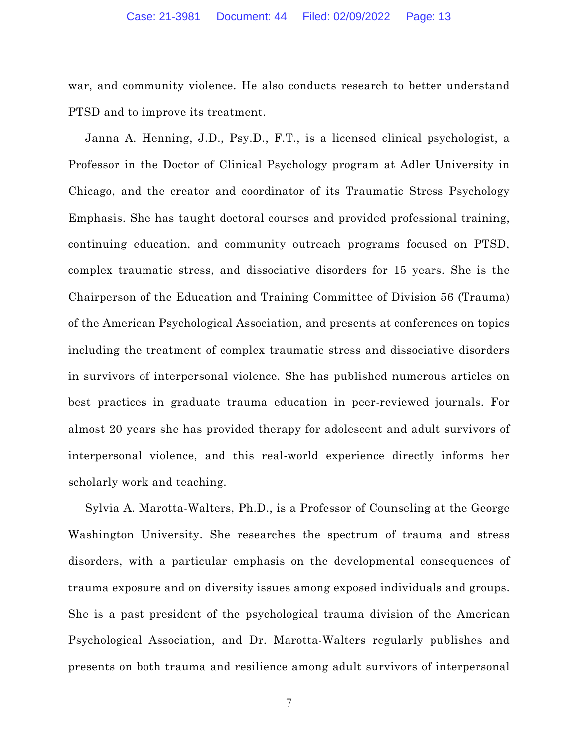war, and community violence. He also conducts research to better understand PTSD and to improve its treatment.

Janna A. Henning, J.D., Psy.D., F.T., is a licensed clinical psychologist, a Professor in the Doctor of Clinical Psychology program at Adler University in Chicago, and the creator and coordinator of its Traumatic Stress Psychology Emphasis. She has taught doctoral courses and provided professional training, continuing education, and community outreach programs focused on PTSD, complex traumatic stress, and dissociative disorders for 15 years. She is the Chairperson of the Education and Training Committee of Division 56 (Trauma) of the American Psychological Association, and presents at conferences on topics including the treatment of complex traumatic stress and dissociative disorders in survivors of interpersonal violence. She has published numerous articles on best practices in graduate trauma education in peer-reviewed journals. For almost 20 years she has provided therapy for adolescent and adult survivors of interpersonal violence, and this real-world experience directly informs her scholarly work and teaching.

Sylvia A. Marotta-Walters, Ph.D., is a Professor of Counseling at the George Washington University. She researches the spectrum of trauma and stress disorders, with a particular emphasis on the developmental consequences of trauma exposure and on diversity issues among exposed individuals and groups. She is a past president of the psychological trauma division of the American Psychological Association, and Dr. Marotta-Walters regularly publishes and presents on both trauma and resilience among adult survivors of interpersonal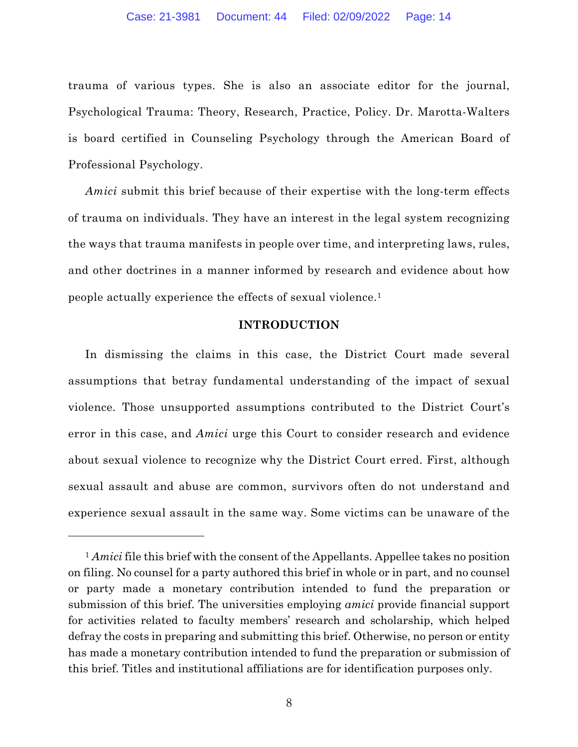trauma of various types. She is also an associate editor for the journal, Psychological Trauma: Theory, Research, Practice, Policy. Dr. Marotta-Walters is board certified in Counseling Psychology through the American Board of Professional Psychology.

*Amici* submit this brief because of their expertise with the long-term effects of trauma on individuals. They have an interest in the legal system recognizing the ways that trauma manifests in people over time, and interpreting laws, rules, and other doctrines in a manner informed by research and evidence about how people actually experience the effects of sexual violence.1

#### **INTRODUCTION**

In dismissing the claims in this case, the District Court made several assumptions that betray fundamental understanding of the impact of sexual violence. Those unsupported assumptions contributed to the District Court's error in this case, and *Amici* urge this Court to consider research and evidence about sexual violence to recognize why the District Court erred. First, although sexual assault and abuse are common, survivors often do not understand and experience sexual assault in the same way. Some victims can be unaware of the

<sup>&</sup>lt;sup>1</sup> *Amici* file this brief with the consent of the Appellants. Appellee takes no position on filing. No counsel for a party authored this brief in whole or in part, and no counsel or party made a monetary contribution intended to fund the preparation or submission of this brief. The universities employing *amici* provide financial support for activities related to faculty members' research and scholarship, which helped defray the costs in preparing and submitting this brief. Otherwise, no person or entity has made a monetary contribution intended to fund the preparation or submission of this brief. Titles and institutional affiliations are for identification purposes only.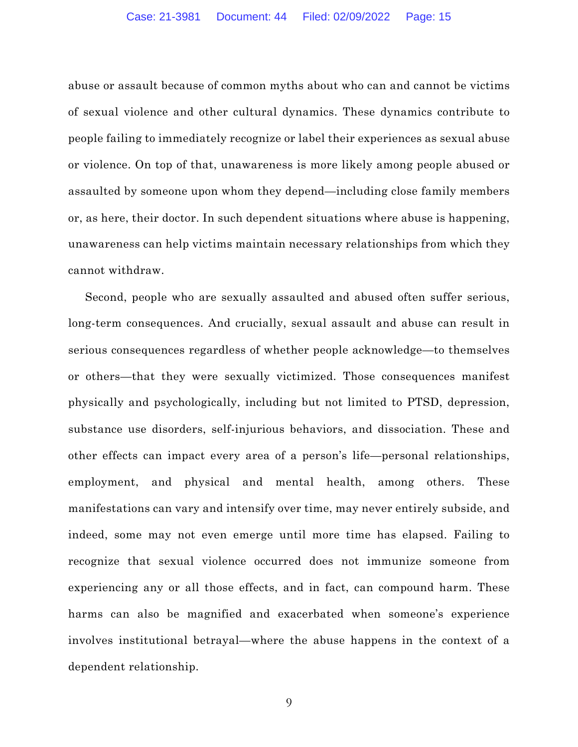abuse or assault because of common myths about who can and cannot be victims of sexual violence and other cultural dynamics. These dynamics contribute to people failing to immediately recognize or label their experiences as sexual abuse or violence. On top of that, unawareness is more likely among people abused or assaulted by someone upon whom they depend—including close family members or, as here, their doctor. In such dependent situations where abuse is happening, unawareness can help victims maintain necessary relationships from which they cannot withdraw.

Second, people who are sexually assaulted and abused often suffer serious, long-term consequences. And crucially, sexual assault and abuse can result in serious consequences regardless of whether people acknowledge—to themselves or others—that they were sexually victimized. Those consequences manifest physically and psychologically, including but not limited to PTSD, depression, substance use disorders, self-injurious behaviors, and dissociation. These and other effects can impact every area of a person's life—personal relationships, employment, and physical and mental health, among others. These manifestations can vary and intensify over time, may never entirely subside, and indeed, some may not even emerge until more time has elapsed. Failing to recognize that sexual violence occurred does not immunize someone from experiencing any or all those effects, and in fact, can compound harm. These harms can also be magnified and exacerbated when someone's experience involves institutional betrayal—where the abuse happens in the context of a dependent relationship.

9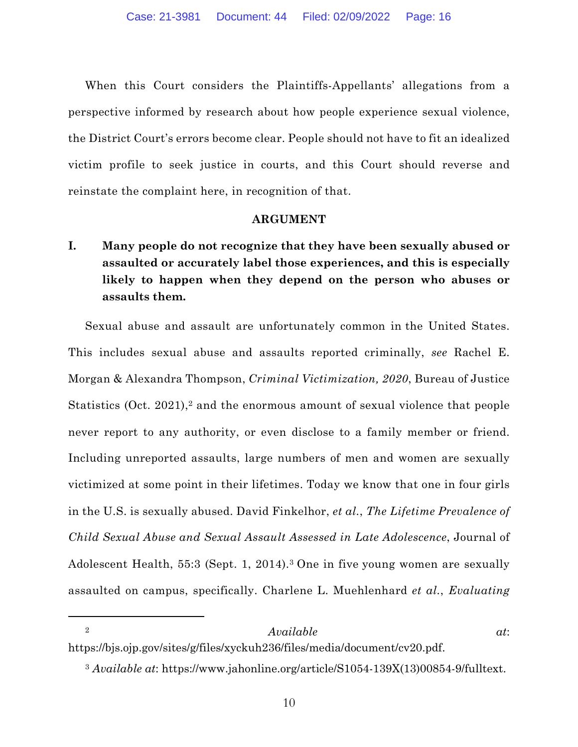When this Court considers the Plaintiffs-Appellants' allegations from a perspective informed by research about how people experience sexual violence, the District Court's errors become clear. People should not have to fit an idealized victim profile to seek justice in courts, and this Court should reverse and reinstate the complaint here, in recognition of that.

### **ARGUMENT**

**I. Many people do not recognize that they have been sexually abused or assaulted or accurately label those experiences, and this is especially likely to happen when they depend on the person who abuses or assaults them.** 

Sexual abuse and assault are unfortunately common in the United States. This includes sexual abuse and assaults reported criminally, *see* Rachel E. Morgan & Alexandra Thompson, *Criminal Victimization, 2020*, Bureau of Justice Statistics (Oct. 2021),<sup>2</sup> and the enormous amount of sexual violence that people never report to any authority, or even disclose to a family member or friend. Including unreported assaults, large numbers of men and women are sexually victimized at some point in their lifetimes. Today we know that one in four girls in the U.S. is sexually abused. David Finkelhor, *et al.*, *The Lifetime Prevalence of Child Sexual Abuse and Sexual Assault Assessed in Late Adolescence*, Journal of Adolescent Health, 55:3 (Sept. 1, 2014).3 One in five young women are sexually assaulted on campus, specifically. Charlene L. Muehlenhard *et al.*, *Evaluating* 

### <sup>2</sup> *Available at*:

https://bjs.ojp.gov/sites/g/files/xyckuh236/files/media/document/cv20.pdf.

<sup>3</sup> *Available at*: https://www.jahonline.org/article/S1054-139X(13)00854-9/fulltext.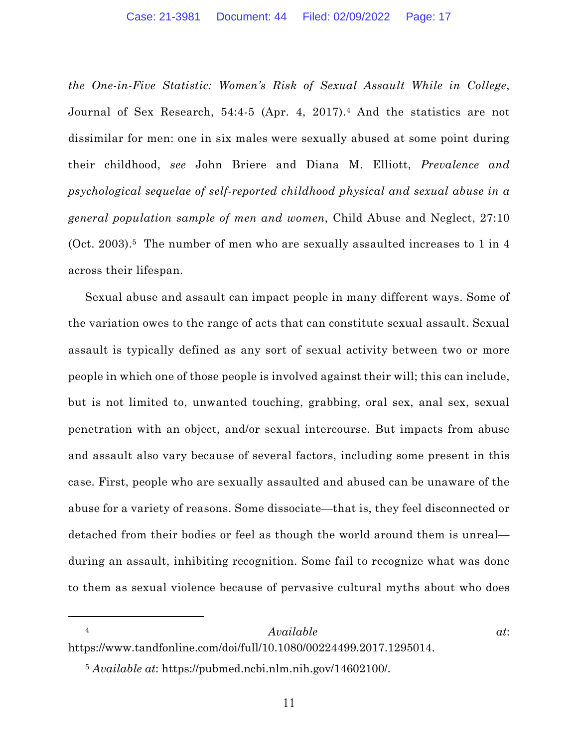*the One-in-Five Statistic: Women's Risk of Sexual Assault While in College*, Journal of Sex Research, 54:4-5 (Apr. 4, 2017).4 And the statistics are not dissimilar for men: one in six males were sexually abused at some point during their childhood, *see* John Briere and Diana M. Elliott, *Prevalence and psychological sequelae of self-reported childhood physical and sexual abuse in a general population sample of men and women*, Child Abuse and Neglect, 27:10 (Oct. 2003).<sup>5</sup> The number of men who are sexually assaulted increases to 1 in 4 across their lifespan.

Sexual abuse and assault can impact people in many different ways. Some of the variation owes to the range of acts that can constitute sexual assault. Sexual assault is typically defined as any sort of sexual activity between two or more people in which one of those people is involved against their will; this can include, but is not limited to, unwanted touching, grabbing, oral sex, anal sex, sexual penetration with an object, and/or sexual intercourse. But impacts from abuse and assault also vary because of several factors, including some present in this case. First, people who are sexually assaulted and abused can be unaware of the abuse for a variety of reasons. Some dissociate—that is, they feel disconnected or detached from their bodies or feel as though the world around them is unreal during an assault, inhibiting recognition. Some fail to recognize what was done to them as sexual violence because of pervasive cultural myths about who does

### <sup>4</sup> *Available at*:

https://www.tandfonline.com/doi/full/10.1080/00224499.2017.1295014.

<sup>5</sup> *Available at*: https://pubmed.ncbi.nlm.nih.gov/14602100/.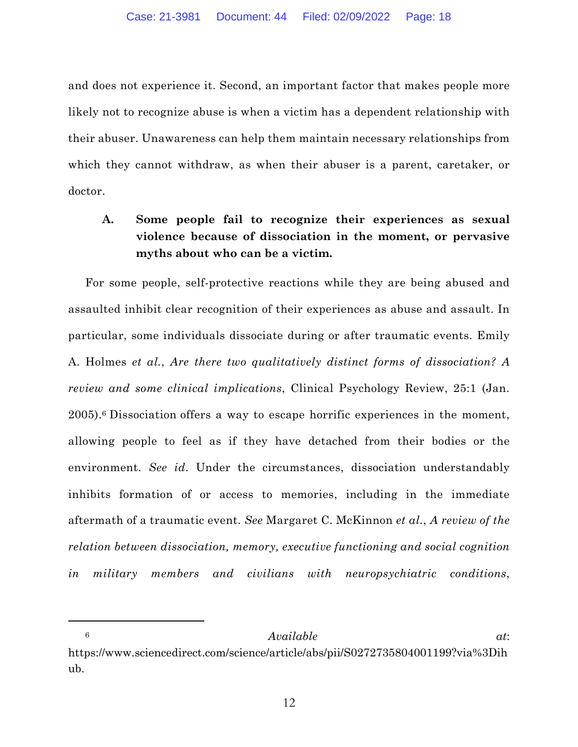and does not experience it. Second, an important factor that makes people more likely not to recognize abuse is when a victim has a dependent relationship with their abuser. Unawareness can help them maintain necessary relationships from which they cannot withdraw, as when their abuser is a parent, caretaker, or doctor.

# **A. Some people fail to recognize their experiences as sexual violence because of dissociation in the moment, or pervasive myths about who can be a victim.**

For some people, self-protective reactions while they are being abused and assaulted inhibit clear recognition of their experiences as abuse and assault. In particular, some individuals dissociate during or after traumatic events. Emily A. Holmes *et al.*, *Are there two qualitatively distinct forms of dissociation? A review and some clinical implications*, Clinical Psychology Review, 25:1 (Jan. 2005).6 Dissociation offers a way to escape horrific experiences in the moment, allowing people to feel as if they have detached from their bodies or the environment. *See id*. Under the circumstances, dissociation understandably inhibits formation of or access to memories, including in the immediate aftermath of a traumatic event. *See* Margaret C. McKinnon *et al.*, *A review of the relation between dissociation, memory, executive functioning and social cognition in military members and civilians with neuropsychiatric conditions*,

<sup>6</sup> *Available at*: https://www.sciencedirect.com/science/article/abs/pii/S0272735804001199?via%3Dih ub.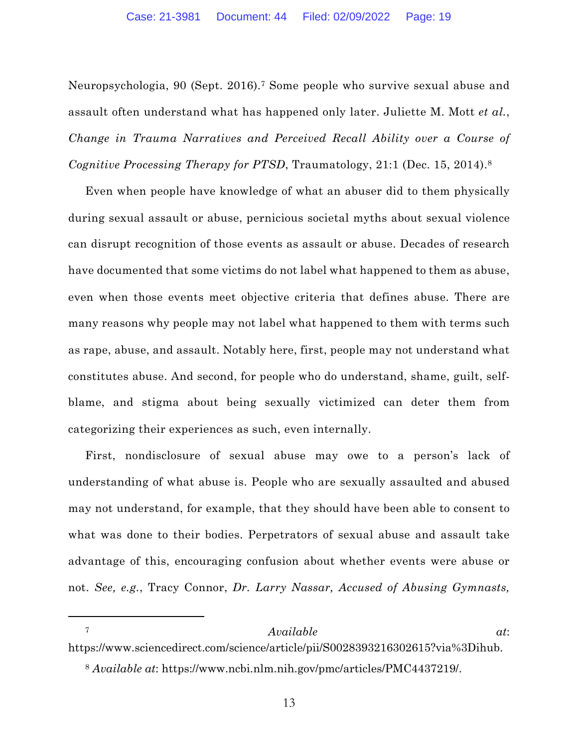Neuropsychologia, 90 (Sept. 2016).7 Some people who survive sexual abuse and assault often understand what has happened only later. Juliette M. Mott *et al.*, *Change in Trauma Narratives and Perceived Recall Ability over a Course of Cognitive Processing Therapy for PTSD*, Traumatology, 21:1 (Dec. 15, 2014).8

Even when people have knowledge of what an abuser did to them physically during sexual assault or abuse, pernicious societal myths about sexual violence can disrupt recognition of those events as assault or abuse. Decades of research have documented that some victims do not label what happened to them as abuse, even when those events meet objective criteria that defines abuse. There are many reasons why people may not label what happened to them with terms such as rape, abuse, and assault. Notably here, first, people may not understand what constitutes abuse. And second, for people who do understand, shame, guilt, selfblame, and stigma about being sexually victimized can deter them from categorizing their experiences as such, even internally.

First, nondisclosure of sexual abuse may owe to a person's lack of understanding of what abuse is. People who are sexually assaulted and abused may not understand, for example, that they should have been able to consent to what was done to their bodies. Perpetrators of sexual abuse and assault take advantage of this, encouraging confusion about whether events were abuse or not. *See, e.g.*, Tracy Connor, *Dr. Larry Nassar, Accused of Abusing Gymnasts,* 

<sup>8</sup> *Available at*: https://www.ncbi.nlm.nih.gov/pmc/articles/PMC4437219/.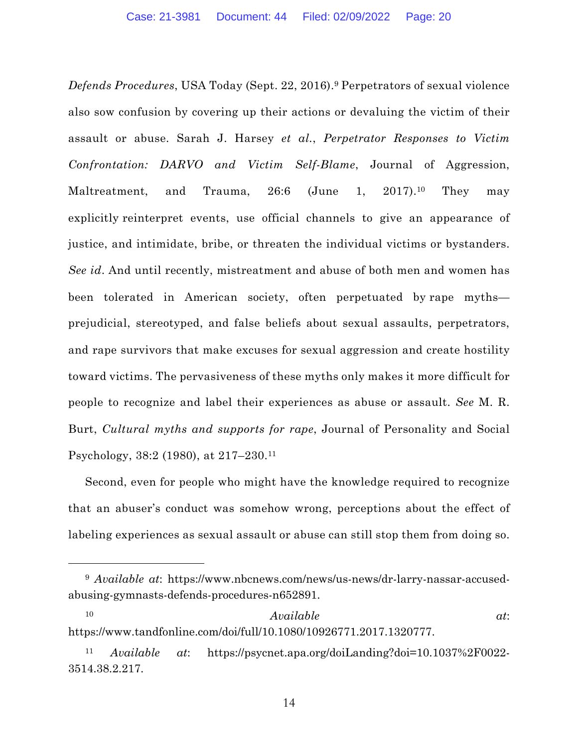*Defends Procedures*, USA Today (Sept. 22, 2016).9 Perpetrators of sexual violence also sow confusion by covering up their actions or devaluing the victim of their assault or abuse. Sarah J. Harsey *et al.*, *Perpetrator Responses to Victim Confrontation: DARVO and Victim Self-Blame*, Journal of Aggression, Maltreatment, and Trauma, 26:6 (June 1, 2017).<sup>10</sup> They may explicitly reinterpret events, use official channels to give an appearance of justice, and intimidate, bribe, or threaten the individual victims or bystanders. *See id*. And until recently, mistreatment and abuse of both men and women has been tolerated in American society, often perpetuated by rape myths prejudicial, stereotyped, and false beliefs about sexual assaults, perpetrators, and rape survivors that make excuses for sexual aggression and create hostility toward victims. The pervasiveness of these myths only makes it more difficult for people to recognize and label their experiences as abuse or assault. *See* M. R. Burt, *Cultural myths and supports for rape*, Journal of Personality and Social Psychology, 38:2 (1980), at 217–230.11

Second, even for people who might have the knowledge required to recognize that an abuser's conduct was somehow wrong, perceptions about the effect of labeling experiences as sexual assault or abuse can still stop them from doing so.

<sup>9</sup> *Available at*: https://www.nbcnews.com/news/us-news/dr-larry-nassar-accusedabusing-gymnasts-defends-procedures-n652891.

<sup>10</sup> *Available at*: https://www.tandfonline.com/doi/full/10.1080/10926771.2017.1320777.

<sup>11</sup> *Available at*: https://psycnet.apa.org/doiLanding?doi=10.1037%2F0022- 3514.38.2.217.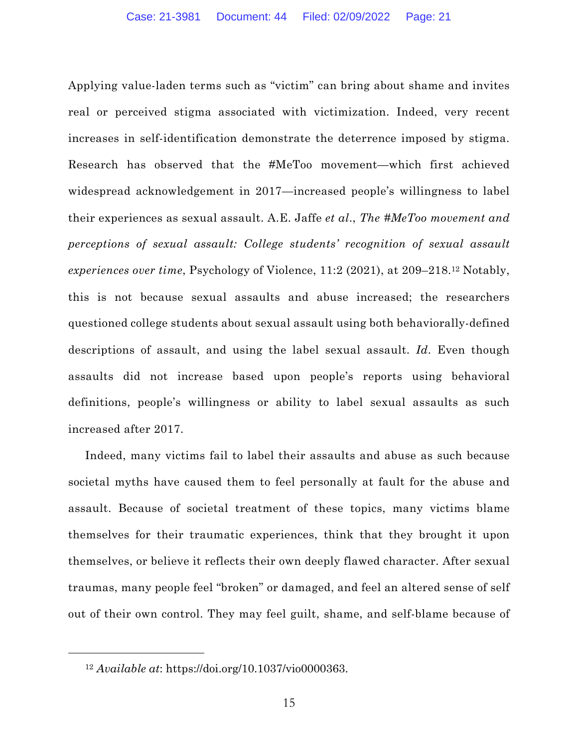Applying value-laden terms such as "victim" can bring about shame and invites real or perceived stigma associated with victimization. Indeed, very recent increases in self-identification demonstrate the deterrence imposed by stigma. Research has observed that the #MeToo movement—which first achieved widespread acknowledgement in 2017—increased people's willingness to label their experiences as sexual assault. A.E. Jaffe *et al*., *The #MeToo movement and perceptions of sexual assault: College students' recognition of sexual assault experiences over time*, Psychology of Violence, 11:2 (2021), at 209–218.12 Notably, this is not because sexual assaults and abuse increased; the researchers questioned college students about sexual assault using both behaviorally-defined descriptions of assault, and using the label sexual assault. *Id*. Even though assaults did not increase based upon people's reports using behavioral definitions, people's willingness or ability to label sexual assaults as such increased after 2017.

Indeed, many victims fail to label their assaults and abuse as such because societal myths have caused them to feel personally at fault for the abuse and assault. Because of societal treatment of these topics, many victims blame themselves for their traumatic experiences, think that they brought it upon themselves, or believe it reflects their own deeply flawed character. After sexual traumas, many people feel "broken" or damaged, and feel an altered sense of self out of their own control. They may feel guilt, shame, and self-blame because of

<sup>12</sup> *Available at*: https://doi.org/10.1037/vio0000363.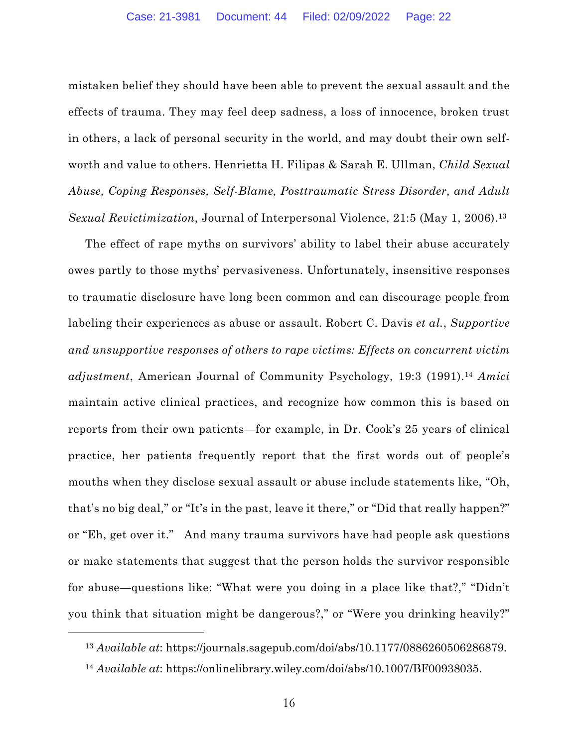mistaken belief they should have been able to prevent the sexual assault and the effects of trauma. They may feel deep sadness, a loss of innocence, broken trust in others, a lack of personal security in the world, and may doubt their own selfworth and value to others. Henrietta H. Filipas & Sarah E. Ullman, *Child Sexual Abuse, Coping Responses, Self-Blame, Posttraumatic Stress Disorder, and Adult Sexual Revictimization*, Journal of Interpersonal Violence, 21:5 (May 1, 2006).<sup>13</sup>

The effect of rape myths on survivors' ability to label their abuse accurately owes partly to those myths' pervasiveness. Unfortunately, insensitive responses to traumatic disclosure have long been common and can discourage people from labeling their experiences as abuse or assault. Robert C. Davis *et al.*, *Supportive and unsupportive responses of others to rape victims: Effects on concurrent victim adjustment*, American Journal of Community Psychology, 19:3 (1991).14 *Amici*  maintain active clinical practices, and recognize how common this is based on reports from their own patients—for example, in Dr. Cook's 25 years of clinical practice, her patients frequently report that the first words out of people's mouths when they disclose sexual assault or abuse include statements like, "Oh, that's no big deal," or "It's in the past, leave it there," or "Did that really happen?" or "Eh, get over it." And many trauma survivors have had people ask questions or make statements that suggest that the person holds the survivor responsible for abuse—questions like: "What were you doing in a place like that?," "Didn't you think that situation might be dangerous?," or "Were you drinking heavily?"

<sup>13</sup> *Available at*: https://journals.sagepub.com/doi/abs/10.1177/0886260506286879.

<sup>14</sup> *Available at*: https://onlinelibrary.wiley.com/doi/abs/10.1007/BF00938035.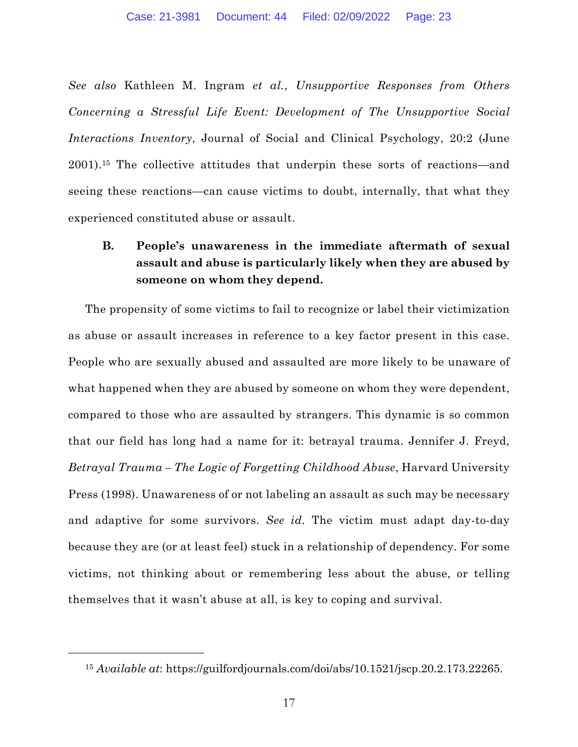*See also* Kathleen M. Ingram *et al.*, *Unsupportive Responses from Others Concerning a Stressful Life Event: Development of The Unsupportive Social Interactions Inventory*, Journal of Social and Clinical Psychology, 20:2 (June 2001).15 The collective attitudes that underpin these sorts of reactions—and seeing these reactions—can cause victims to doubt, internally, that what they experienced constituted abuse or assault.

# **B. People's unawareness in the immediate aftermath of sexual assault and abuse is particularly likely when they are abused by someone on whom they depend.**

The propensity of some victims to fail to recognize or label their victimization as abuse or assault increases in reference to a key factor present in this case. People who are sexually abused and assaulted are more likely to be unaware of what happened when they are abused by someone on whom they were dependent, compared to those who are assaulted by strangers. This dynamic is so common that our field has long had a name for it: betrayal trauma. Jennifer J. Freyd, *Betrayal Trauma – The Logic of Forgetting Childhood Abuse*, Harvard University Press (1998). Unawareness of or not labeling an assault as such may be necessary and adaptive for some survivors. *See id*. The victim must adapt day-to-day because they are (or at least feel) stuck in a relationship of dependency. For some victims, not thinking about or remembering less about the abuse, or telling themselves that it wasn't abuse at all, is key to coping and survival.

<sup>15</sup> *Available at*: https://guilfordjournals.com/doi/abs/10.1521/jscp.20.2.173.22265.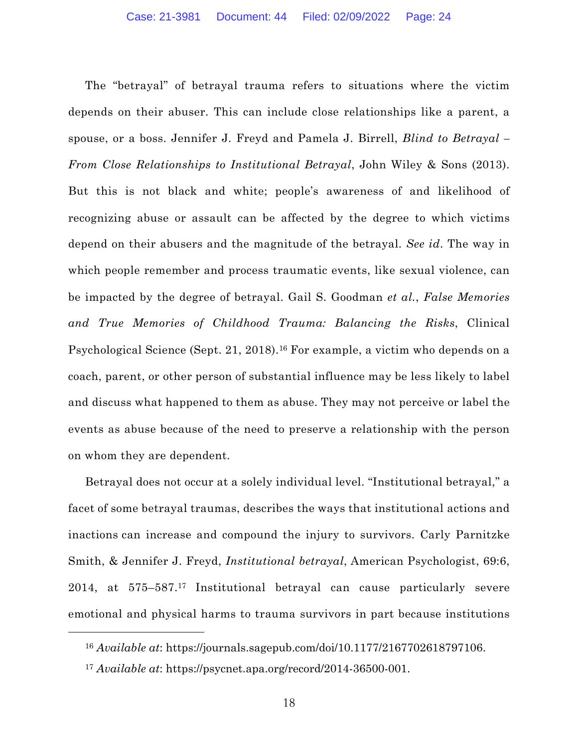The "betrayal" of betrayal trauma refers to situations where the victim depends on their abuser. This can include close relationships like a parent, a spouse, or a boss. Jennifer J. Freyd and Pamela J. Birrell, *Blind to Betrayal – From Close Relationships to Institutional Betrayal*, John Wiley & Sons (2013). But this is not black and white; people's awareness of and likelihood of recognizing abuse or assault can be affected by the degree to which victims depend on their abusers and the magnitude of the betrayal. *See id*. The way in which people remember and process traumatic events, like sexual violence, can be impacted by the degree of betrayal. Gail S. Goodman *et al.*, *False Memories and True Memories of Childhood Trauma: Balancing the Risks*, Clinical Psychological Science (Sept. 21, 2018).16 For example, a victim who depends on a coach, parent, or other person of substantial influence may be less likely to label and discuss what happened to them as abuse. They may not perceive or label the events as abuse because of the need to preserve a relationship with the person on whom they are dependent.

Betrayal does not occur at a solely individual level. "Institutional betrayal," a facet of some betrayal traumas, describes the ways that institutional actions and inactions can increase and compound the injury to survivors. Carly Parnitzke Smith, & Jennifer J. Freyd, *Institutional betrayal*, American Psychologist, 69:6, 2014, at 575–587.17 Institutional betrayal can cause particularly severe emotional and physical harms to trauma survivors in part because institutions

<sup>16</sup> *Available at*: https://journals.sagepub.com/doi/10.1177/2167702618797106.

<sup>17</sup> *Available at*: https://psycnet.apa.org/record/2014-36500-001.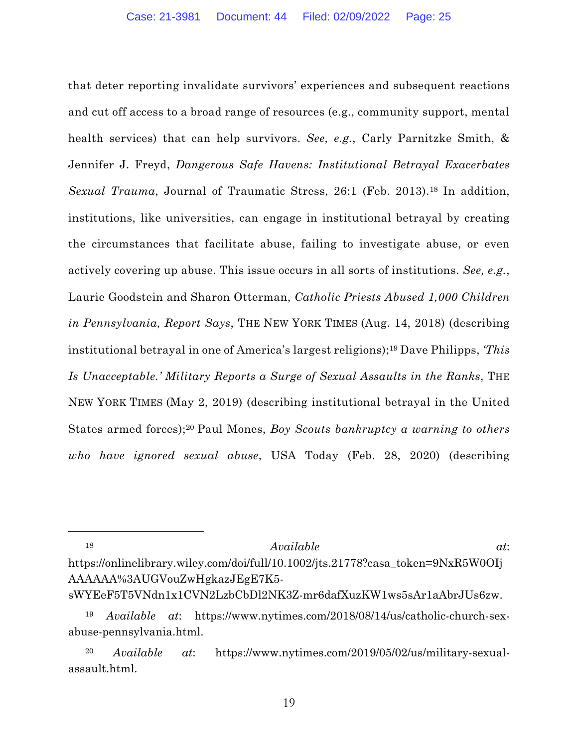that deter reporting invalidate survivors' experiences and subsequent reactions and cut off access to a broad range of resources (e.g., community support, mental health services) that can help survivors. *See, e.g.*, Carly Parnitzke Smith, & Jennifer J. Freyd, *Dangerous Safe Havens: Institutional Betrayal Exacerbates Sexual Trauma*, Journal of Traumatic Stress, 26:1 (Feb. 2013).<sup>18</sup> In addition, institutions, like universities, can engage in institutional betrayal by creating the circumstances that facilitate abuse, failing to investigate abuse, or even actively covering up abuse. This issue occurs in all sorts of institutions. *See, e.g.*, Laurie Goodstein and Sharon Otterman, *Catholic Priests Abused 1,000 Children in Pennsylvania, Report Says*, THE NEW YORK TIMES (Aug. 14, 2018) (describing institutional betrayal in one of America's largest religions);19 Dave Philipps, *'This Is Unacceptable.' Military Reports a Surge of Sexual Assaults in the Ranks*, THE NEW YORK TIMES (May 2, 2019) (describing institutional betrayal in the United States armed forces);20 Paul Mones, *Boy Scouts bankruptcy a warning to others who have ignored sexual abuse*, USA Today (Feb. 28, 2020) (describing

### <sup>18</sup> *Available at*:

https://onlinelibrary.wiley.com/doi/full/10.1002/jts.21778?casa\_token=9NxR5W0OIj AAAAAA%3AUGVouZwHgkazJEgE7K5-

sWYEeF5T5VNdn1x1CVN2LzbCbDl2NK3Z-mr6dafXuzKW1ws5sAr1aAbrJUs6zw.

<sup>19</sup> *Available at*: https://www.nytimes.com/2018/08/14/us/catholic-church-sexabuse-pennsylvania.html.

<sup>20</sup> *Available at*: https://www.nytimes.com/2019/05/02/us/military-sexualassault.html.

19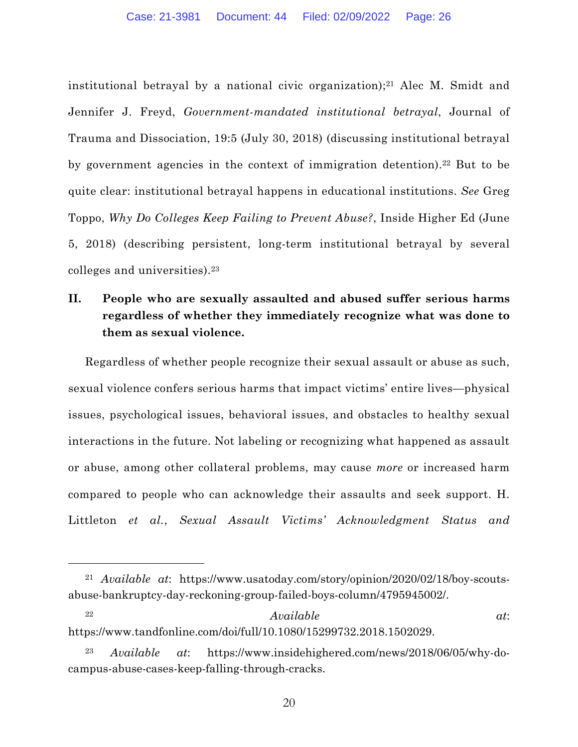institutional betrayal by a national civic organization);<sup>21</sup> Alec M. Smidt and Jennifer J. Freyd, *Government-mandated institutional betrayal*, Journal of Trauma and Dissociation, 19:5 (July 30, 2018) (discussing institutional betrayal by government agencies in the context of immigration detention).<sup>22</sup> But to be quite clear: institutional betrayal happens in educational institutions. *See* Greg Toppo, *Why Do Colleges Keep Failing to Prevent Abuse?*, Inside Higher Ed (June 5, 2018) (describing persistent, long-term institutional betrayal by several colleges and universities).23

# **II. People who are sexually assaulted and abused suffer serious harms regardless of whether they immediately recognize what was done to them as sexual violence.**

Regardless of whether people recognize their sexual assault or abuse as such, sexual violence confers serious harms that impact victims' entire lives—physical issues, psychological issues, behavioral issues, and obstacles to healthy sexual interactions in the future. Not labeling or recognizing what happened as assault or abuse, among other collateral problems, may cause *more* or increased harm compared to people who can acknowledge their assaults and seek support. H. Littleton *et al.*, *Sexual Assault Victims' Acknowledgment Status and* 

<sup>21</sup> *Available at*: https://www.usatoday.com/story/opinion/2020/02/18/boy-scoutsabuse-bankruptcy-day-reckoning-group-failed-boys-column/4795945002/.

<sup>22</sup> *Available at*: https://www.tandfonline.com/doi/full/10.1080/15299732.2018.1502029.

<sup>23</sup> *Available at*: https://www.insidehighered.com/news/2018/06/05/why-docampus-abuse-cases-keep-falling-through-cracks.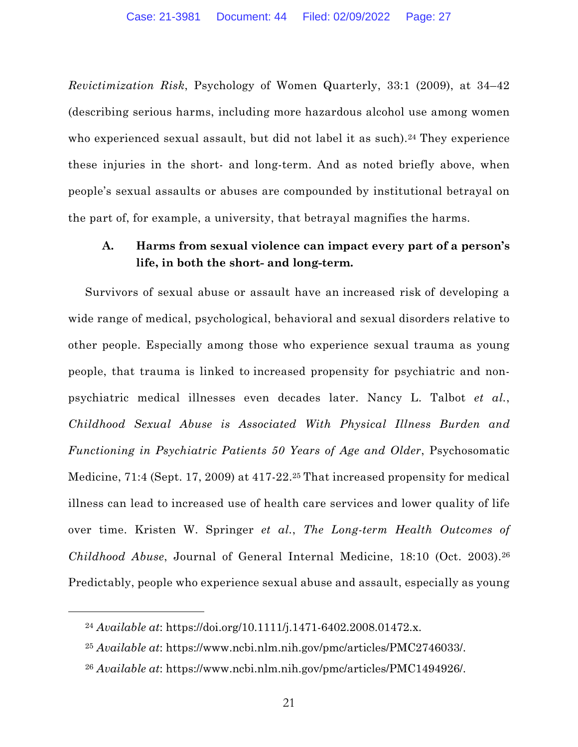*Revictimization Risk*, Psychology of Women Quarterly, 33:1 (2009), at 34–42 (describing serious harms, including more hazardous alcohol use among women who experienced sexual assault, but did not label it as such).<sup>24</sup> They experience these injuries in the short- and long-term. And as noted briefly above, when people's sexual assaults or abuses are compounded by institutional betrayal on the part of, for example, a university, that betrayal magnifies the harms.

### **A. Harms from sexual violence can impact every part of a person's life, in both the short- and long-term.**

Survivors of sexual abuse or assault have an increased risk of developing a wide range of medical, psychological, behavioral and sexual disorders relative to other people. Especially among those who experience sexual trauma as young people, that trauma is linked to increased propensity for psychiatric and nonpsychiatric medical illnesses even decades later. Nancy L. Talbot *et al.*, *Childhood Sexual Abuse is Associated With Physical Illness Burden and Functioning in Psychiatric Patients 50 Years of Age and Older*, Psychosomatic Medicine, 71:4 (Sept. 17, 2009) at 417-22.25 That increased propensity for medical illness can lead to increased use of health care services and lower quality of life over time. Kristen W. Springer *et al.*, *The Long-term Health Outcomes of Childhood Abuse*, Journal of General Internal Medicine, 18:10 (Oct. 2003).26 Predictably, people who experience sexual abuse and assault, especially as young

<sup>24</sup> *Available at*: https://doi.org/10.1111/j.1471-6402.2008.01472.x.

<sup>25</sup> *Available at*: https://www.ncbi.nlm.nih.gov/pmc/articles/PMC2746033/.

<sup>26</sup> *Available at*: https://www.ncbi.nlm.nih.gov/pmc/articles/PMC1494926/.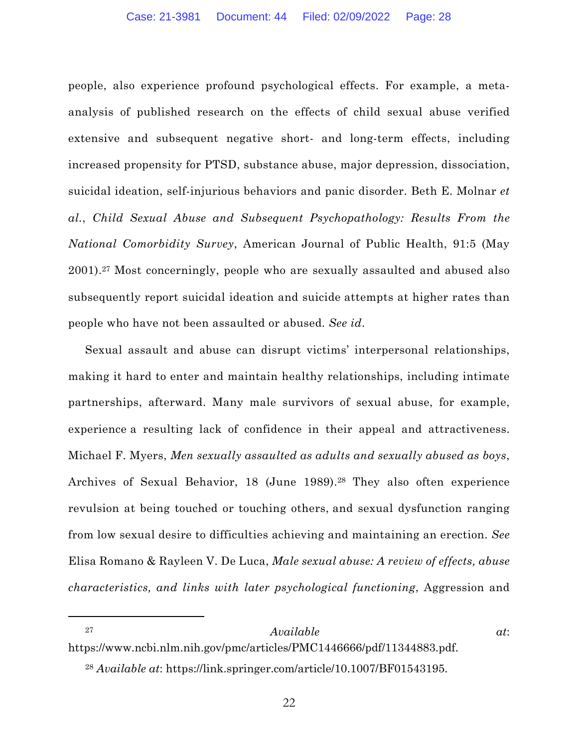people, also experience profound psychological effects. For example, a metaanalysis of published research on the effects of child sexual abuse verified extensive and subsequent negative short- and long-term effects, including increased propensity for PTSD, substance abuse, major depression, dissociation, suicidal ideation, self-injurious behaviors and panic disorder. Beth E. Molnar *et al.*, *Child Sexual Abuse and Subsequent Psychopathology: Results From the National Comorbidity Survey*, American Journal of Public Health, 91:5 (May 2001).27 Most concerningly, people who are sexually assaulted and abused also subsequently report suicidal ideation and suicide attempts at higher rates than people who have not been assaulted or abused. *See id*.

Sexual assault and abuse can disrupt victims' interpersonal relationships, making it hard to enter and maintain healthy relationships, including intimate partnerships, afterward. Many male survivors of sexual abuse, for example, experience a resulting lack of confidence in their appeal and attractiveness. Michael F. Myers, *Men sexually assaulted as adults and sexually abused as boys*, Archives of Sexual Behavior, 18 (June 1989).<sup>28</sup> They also often experience revulsion at being touched or touching others, and sexual dysfunction ranging from low sexual desire to difficulties achieving and maintaining an erection. *See*  Elisa Romano & Rayleen V. De Luca, *Male sexual abuse: A review of effects, abuse characteristics, and links with later psychological functioning*, Aggression and

#### <sup>27</sup> *Available at*:

https://www.ncbi.nlm.nih.gov/pmc/articles/PMC1446666/pdf/11344883.pdf.

<sup>28</sup> *Available at*: https://link.springer.com/article/10.1007/BF01543195.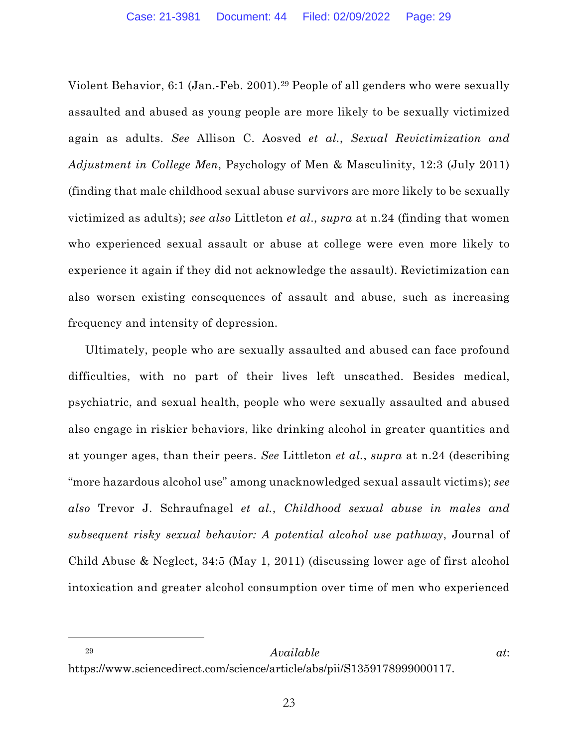Violent Behavior, 6:1 (Jan.-Feb. 2001).29 People of all genders who were sexually assaulted and abused as young people are more likely to be sexually victimized again as adults. *See* Allison C. Aosved *et al.*, *Sexual Revictimization and Adjustment in College Men*, Psychology of Men & Masculinity, 12:3 (July 2011) (finding that male childhood sexual abuse survivors are more likely to be sexually victimized as adults); *see also* Littleton *et al*., *supra* at n.24 (finding that women who experienced sexual assault or abuse at college were even more likely to experience it again if they did not acknowledge the assault). Revictimization can also worsen existing consequences of assault and abuse, such as increasing frequency and intensity of depression.

Ultimately, people who are sexually assaulted and abused can face profound difficulties, with no part of their lives left unscathed. Besides medical, psychiatric, and sexual health, people who were sexually assaulted and abused also engage in riskier behaviors, like drinking alcohol in greater quantities and at younger ages, than their peers. *See* Littleton *et al.*, *supra* at n.24 (describing "more hazardous alcohol use" among unacknowledged sexual assault victims); *see also* Trevor J. Schraufnagel *et al.*, *Childhood sexual abuse in males and subsequent risky sexual behavior: A potential alcohol use pathway*, Journal of Child Abuse & Neglect, 34:5 (May 1, 2011) (discussing lower age of first alcohol intoxication and greater alcohol consumption over time of men who experienced

<sup>29</sup> *Available at*: https://www.sciencedirect.com/science/article/abs/pii/S1359178999000117.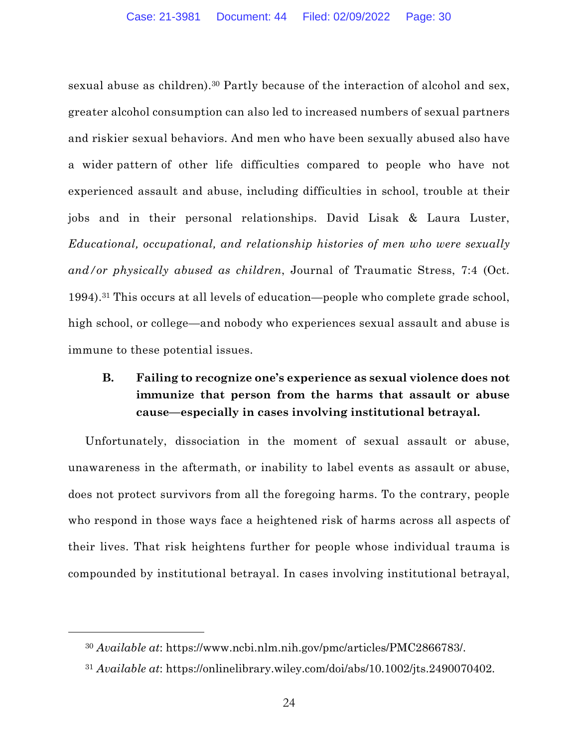sexual abuse as children).<sup>30</sup> Partly because of the interaction of alcohol and sex, greater alcohol consumption can also led to increased numbers of sexual partners and riskier sexual behaviors. And men who have been sexually abused also have a wider pattern of other life difficulties compared to people who have not experienced assault and abuse, including difficulties in school, trouble at their jobs and in their personal relationships. David Lisak & Laura Luster, *Educational, occupational, and relationship histories of men who were sexually and/or physically abused as children*, Journal of Traumatic Stress, 7:4 (Oct. 1994).31 This occurs at all levels of education—people who complete grade school, high school, or college—and nobody who experiences sexual assault and abuse is immune to these potential issues.

# **B. Failing to recognize one's experience as sexual violence does not immunize that person from the harms that assault or abuse cause—especially in cases involving institutional betrayal.**

Unfortunately, dissociation in the moment of sexual assault or abuse, unawareness in the aftermath, or inability to label events as assault or abuse, does not protect survivors from all the foregoing harms. To the contrary, people who respond in those ways face a heightened risk of harms across all aspects of their lives. That risk heightens further for people whose individual trauma is compounded by institutional betrayal. In cases involving institutional betrayal,

<sup>30</sup> *Available at*: https://www.ncbi.nlm.nih.gov/pmc/articles/PMC2866783/.

<sup>31</sup> *Available at*: https://onlinelibrary.wiley.com/doi/abs/10.1002/jts.2490070402.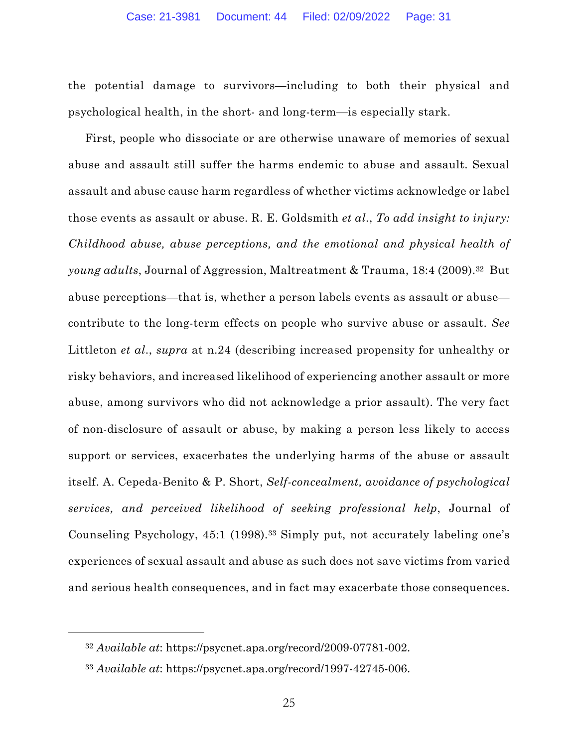the potential damage to survivors—including to both their physical and psychological health, in the short- and long-term—is especially stark.

First, people who dissociate or are otherwise unaware of memories of sexual abuse and assault still suffer the harms endemic to abuse and assault. Sexual assault and abuse cause harm regardless of whether victims acknowledge or label those events as assault or abuse. R. E. Goldsmith *et al*., *To add insight to injury: Childhood abuse, abuse perceptions, and the emotional and physical health of young adults*, Journal of Aggression, Maltreatment & Trauma, 18:4 (2009).32 But abuse perceptions—that is, whether a person labels events as assault or abuse contribute to the long-term effects on people who survive abuse or assault. *See*  Littleton *et al*., *supra* at n.24 (describing increased propensity for unhealthy or risky behaviors, and increased likelihood of experiencing another assault or more abuse, among survivors who did not acknowledge a prior assault). The very fact of non-disclosure of assault or abuse, by making a person less likely to access support or services, exacerbates the underlying harms of the abuse or assault itself. A. Cepeda-Benito & P. Short, *Self-concealment, avoidance of psychological services, and perceived likelihood of seeking professional help*, Journal of Counseling Psychology, 45:1 (1998).33 Simply put, not accurately labeling one's experiences of sexual assault and abuse as such does not save victims from varied and serious health consequences, and in fact may exacerbate those consequences.

<sup>32</sup> *Available at*: https://psycnet.apa.org/record/2009-07781-002.

<sup>33</sup> *Available at*: https://psycnet.apa.org/record/1997-42745-006.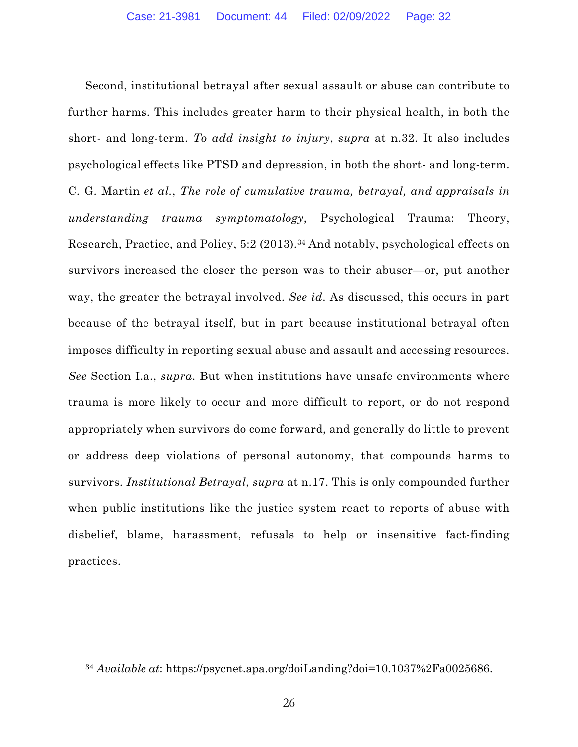Second, institutional betrayal after sexual assault or abuse can contribute to further harms. This includes greater harm to their physical health, in both the short- and long-term. *To add insight to injury*, *supra* at n.32. It also includes psychological effects like PTSD and depression, in both the short- and long-term. C. G. Martin *et al.*, *The role of cumulative trauma, betrayal, and appraisals in understanding trauma symptomatology*, Psychological Trauma: Theory, Research, Practice, and Policy, 5:2 (2013).34 And notably, psychological effects on survivors increased the closer the person was to their abuser—or, put another way, the greater the betrayal involved. *See id*. As discussed, this occurs in part because of the betrayal itself, but in part because institutional betrayal often imposes difficulty in reporting sexual abuse and assault and accessing resources. *See* Section I.a., *supra*. But when institutions have unsafe environments where trauma is more likely to occur and more difficult to report, or do not respond appropriately when survivors do come forward, and generally do little to prevent or address deep violations of personal autonomy, that compounds harms to survivors. *Institutional Betrayal*, *supra* at n.17. This is only compounded further when public institutions like the justice system react to reports of abuse with disbelief, blame, harassment, refusals to help or insensitive fact-finding practices.

<sup>34</sup> *Available at*: https://psycnet.apa.org/doiLanding?doi=10.1037%2Fa0025686.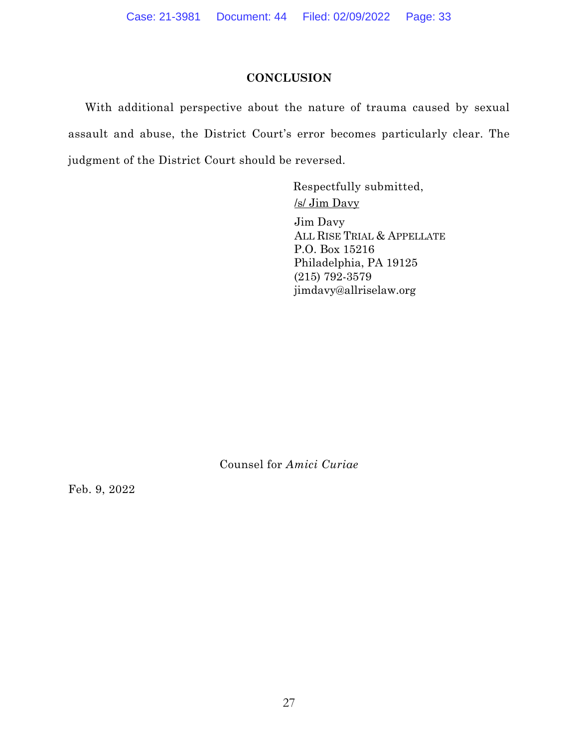### **CONCLUSION**

With additional perspective about the nature of trauma caused by sexual assault and abuse, the District Court's error becomes particularly clear. The judgment of the District Court should be reversed.

> Respectfully submitted, /s/ Jim Davy Jim Davy ALL RISE TRIAL & APPELLATE P.O. Box 15216 Philadelphia, PA 19125 (215) 792-3579 jimdavy@allriselaw.org

Counsel for *Amici Curiae*

Feb. 9, 2022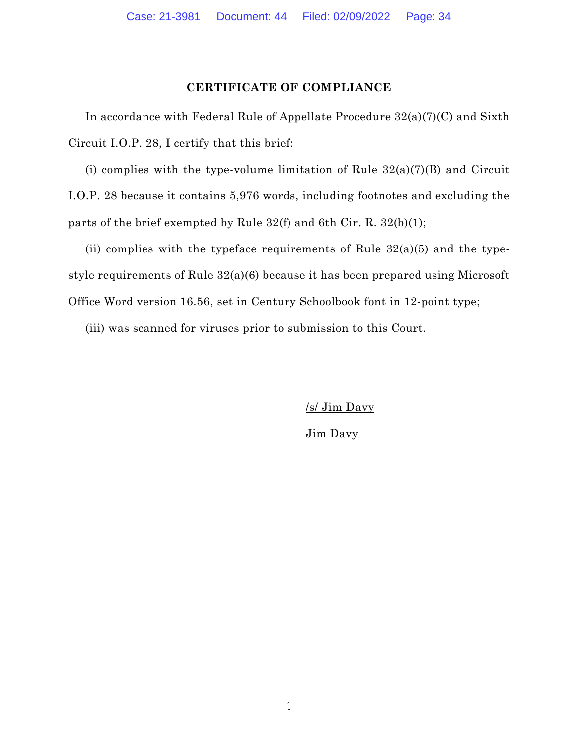#### **CERTIFICATE OF COMPLIANCE**

In accordance with Federal Rule of Appellate Procedure 32(a)(7)(C) and Sixth Circuit I.O.P. 28, I certify that this brief:

(i) complies with the type-volume limitation of Rule  $32(a)(7)(B)$  and Circuit I.O.P. 28 because it contains 5,976 words, including footnotes and excluding the parts of the brief exempted by Rule  $32(f)$  and 6th Cir. R.  $32(b)(1)$ ;

(ii) complies with the typeface requirements of Rule  $32(a)(5)$  and the typestyle requirements of Rule 32(a)(6) because it has been prepared using Microsoft Office Word version 16.56, set in Century Schoolbook font in 12-point type;

(iii) was scanned for viruses prior to submission to this Court.

/s/ Jim Davy

Jim Davy